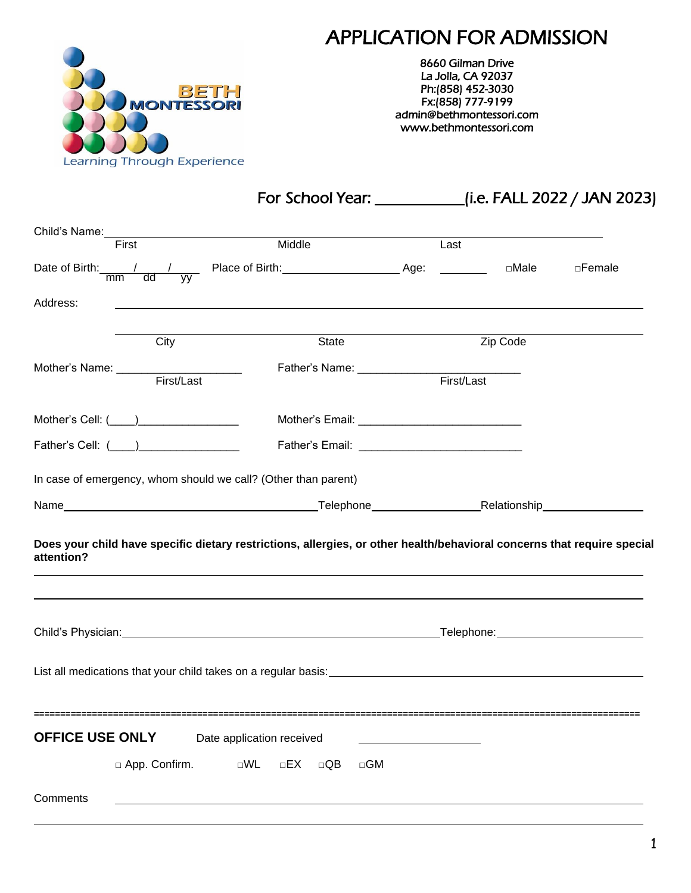

# APPLICATION FOR ADMISSION

8660 Gilman Drive La Jolla, CA 92037 Ph:(858) 452-3030 Fx:(858) 777-9199 admin@bethmontessori.com www.bethmontessori.com

| Child's Name:<br>First                  |      | Middle                                                                                                                                                                                                                               | Last |            |  |
|-----------------------------------------|------|--------------------------------------------------------------------------------------------------------------------------------------------------------------------------------------------------------------------------------------|------|------------|--|
|                                         |      |                                                                                                                                                                                                                                      |      |            |  |
| Address:                                |      |                                                                                                                                                                                                                                      |      |            |  |
|                                         | City | <b>State</b>                                                                                                                                                                                                                         |      | Zip Code   |  |
|                                         |      | Father's Name: ______________                                                                                                                                                                                                        |      |            |  |
| Mother's Name: First/Last               |      |                                                                                                                                                                                                                                      |      | First/Last |  |
| Mother's Cell: (____)__________________ |      |                                                                                                                                                                                                                                      |      |            |  |
| Father's Cell: ( ) ________________     |      |                                                                                                                                                                                                                                      |      |            |  |
|                                         |      | In case of emergency, whom should we call? (Other than parent)                                                                                                                                                                       |      |            |  |
|                                         |      | Name <b>Mame Account Contract Contract Contract Contract Contract Contract Contract Contract Contract Contract Contract Contract Contract Contract Contract Contract Contract Contract Contract Contract Contract Contract Contr</b> |      |            |  |
| attention?                              |      | Does your child have specific dietary restrictions, allergies, or other health/behavioral concerns that require special                                                                                                              |      |            |  |
|                                         |      |                                                                                                                                                                                                                                      |      |            |  |
|                                         |      | List all medications that your child takes on a regular basis: Later and the control of the control of the control of the control of the control of the control of the control of the control of the control of the control of       |      |            |  |
| <b>OFFICE USE ONLY</b>                  |      | Date application received                                                                                                                                                                                                            |      |            |  |

□ App. Confirm. □WL □EX □QB □GM

**Comments**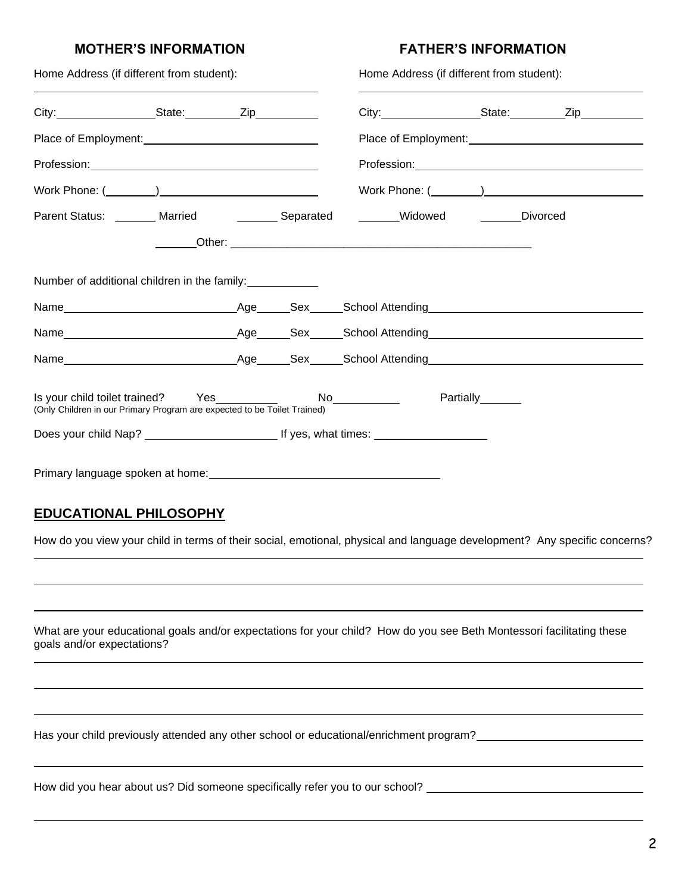#### **MOTHER'S INFORMATION FATHER'S INFORMATION**

| Home Address (if different from student):                                                                                                                                                                                            |  | Home Address (if different from student): |           |  |
|--------------------------------------------------------------------------------------------------------------------------------------------------------------------------------------------------------------------------------------|--|-------------------------------------------|-----------|--|
|                                                                                                                                                                                                                                      |  |                                           |           |  |
| Place of Employment: 2004                                                                                                                                                                                                            |  |                                           |           |  |
| Profession: 2008 - 2008 - 2018 - 2019 - 2019 - 2019 - 2019 - 2019 - 2019 - 2019 - 2019 - 2019 - 2019 - 2019 - 2019 - 2019 - 2019 - 2019 - 2019 - 2019 - 2019 - 2019 - 2019 - 2019 - 2019 - 2019 - 2019 - 2019 - 2019 - 2019 -        |  |                                           |           |  |
|                                                                                                                                                                                                                                      |  |                                           |           |  |
| Parent Status: _______ Married __________ Separated ________Widowed ________Divorced                                                                                                                                                 |  |                                           |           |  |
|                                                                                                                                                                                                                                      |  |                                           |           |  |
| Number of additional children in the family:                                                                                                                                                                                         |  |                                           |           |  |
|                                                                                                                                                                                                                                      |  |                                           |           |  |
|                                                                                                                                                                                                                                      |  |                                           |           |  |
| Name <b>Mame Mame Contract Contract Contract Contract Contract Contract Contract Contract Contract Contract Contract Contract Contract Contract Contract Contract Contract Contract Contract Contract Contract Contract Contract</b> |  |                                           |           |  |
| (Only Children in our Primary Program are expected to be Toilet Trained)                                                                                                                                                             |  |                                           | Partially |  |
|                                                                                                                                                                                                                                      |  |                                           |           |  |
| Primary language spoken at home: example and the state of the state of the state of the state of the state of the state of the state of the state of the state of the state of the state of the state of the state of the stat       |  |                                           |           |  |

#### **EDUCATIONAL PHILOSOPHY**

How do you view your child in terms of their social, emotional, physical and language development? Any specific concerns?

What are your educational goals and/or expectations for your child? How do you see Beth Montessori facilitating these goals and/or expectations?

Has your child previously attended any other school or educational/enrichment program?

How did you hear about us? Did someone specifically refer you to our school? <u>New Your American manual restriction</u>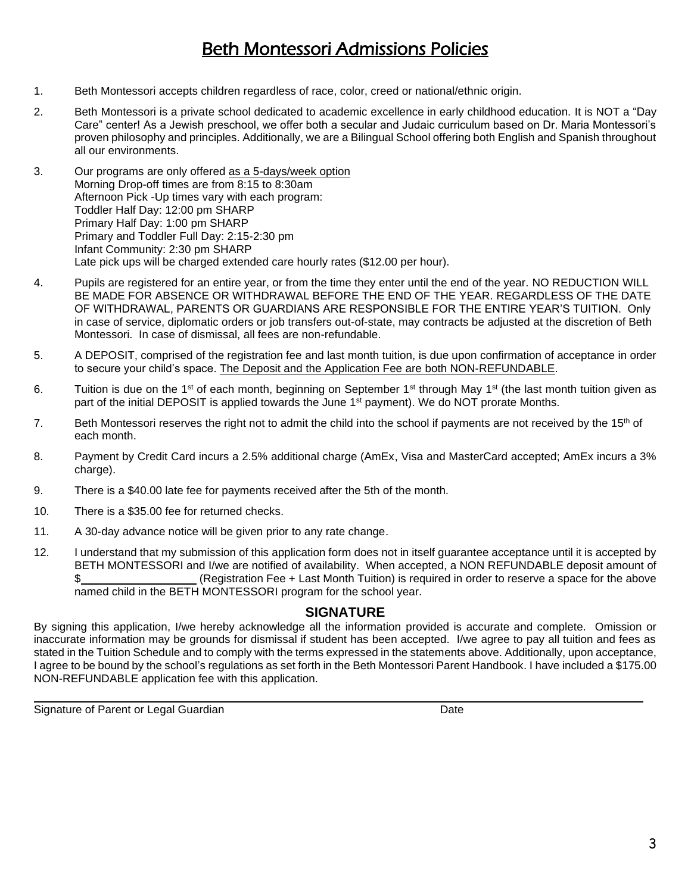## Beth Montessori Admissions Policies

- 1. Beth Montessori accepts children regardless of race, color, creed or national/ethnic origin.
- 2. Beth Montessori is a private school dedicated to academic excellence in early childhood education. It is NOT a "Day Care" center! As a Jewish preschool, we offer both a secular and Judaic curriculum based on Dr. Maria Montessori's proven philosophy and principles. Additionally, we are a Bilingual School offering both English and Spanish throughout all our environments.
- 3. Our programs are only offered as a 5-days/week option Morning Drop-off times are from 8:15 to 8:30am Afternoon Pick -Up times vary with each program: Toddler Half Day: 12:00 pm SHARP Primary Half Day: 1:00 pm SHARP Primary and Toddler Full Day: 2:15-2:30 pm Infant Community: 2:30 pm SHARP Late pick ups will be charged extended care hourly rates (\$12.00 per hour).
- 4. Pupils are registered for an entire year, or from the time they enter until the end of the year. NO REDUCTION WILL BE MADE FOR ABSENCE OR WITHDRAWAL BEFORE THE END OF THE YEAR. REGARDLESS OF THE DATE OF WITHDRAWAL, PARENTS OR GUARDIANS ARE RESPONSIBLE FOR THE ENTIRE YEAR'S TUITION. Only in case of service, diplomatic orders or job transfers out-of-state, may contracts be adjusted at the discretion of Beth Montessori. In case of dismissal, all fees are non-refundable.
- 5. A DEPOSIT, comprised of the registration fee and last month tuition, is due upon confirmation of acceptance in order to secure your child's space. The Deposit and the Application Fee are both NON-REFUNDABLE.
- 6. Tuition is due on the 1<sup>st</sup> of each month, beginning on September 1<sup>st</sup> through May 1<sup>st</sup> (the last month tuition given as part of the initial DEPOSIT is applied towards the June 1<sup>st</sup> payment). We do NOT prorate Months.
- 7. Beth Montessori reserves the right not to admit the child into the school if payments are not received by the 15<sup>th</sup> of each month.
- 8. Payment by Credit Card incurs a 2.5% additional charge (AmEx, Visa and MasterCard accepted; AmEx incurs a 3% charge).
- 9. There is a \$40.00 late fee for payments received after the 5th of the month.
- 10. There is a \$35.00 fee for returned checks.
- 11. A 30-day advance notice will be given prior to any rate change.
- 12. I understand that my submission of this application form does not in itself guarantee acceptance until it is accepted by BETH MONTESSORI and I/we are notified of availability. When accepted, a NON REFUNDABLE deposit amount of \$ (Registration Fee + Last Month Tuition) is required in order to reserve a space for the above named child in the BETH MONTESSORI program for the school year.

#### **SIGNATURE**

By signing this application, I/we hereby acknowledge all the information provided is accurate and complete. Omission or inaccurate information may be grounds for dismissal if student has been accepted. I/we agree to pay all tuition and fees as stated in the Tuition Schedule and to comply with the terms expressed in the statements above. Additionally, upon acceptance, I agree to be bound by the school's regulations as set forth in the Beth Montessori Parent Handbook. I have included a \$175.00 NON-REFUNDABLE application fee with this application.

Signature of Parent or Legal Guardian Date Date Date Date